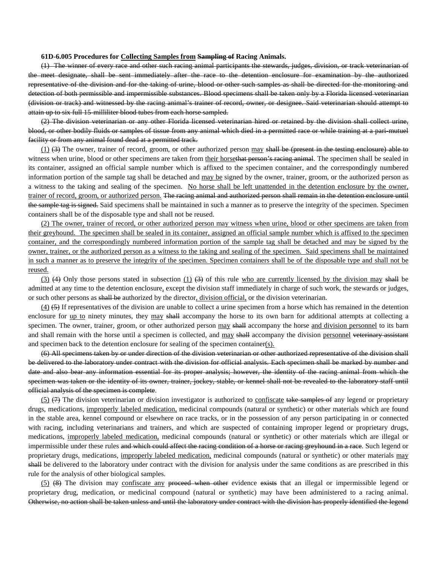## **61D-6.005 Procedures for Collecting Samples from Sampling of Racing Animals.**

(1) The winner of every race and other such racing animal participants the stewards, judges, division, or track veterinarian of the meet designate, shall be sent immediately after the race to the detention enclosure for examination by the authorized representative of the division and for the taking of urine, blood or other such samples as shall be directed for the monitoring and detection of both permissible and impermissible substances. Blood specimens shall be taken only by a Florida licensed veterinarian (division or track) and witnessed by the racing animal's trainer of record, owner, or designee. Said veterinarian should attempt to attain up to six full 15 milliliter blood tubes from each horse sampled.

(2) The division veterinarian or any other Florida licensed veterinarian hired or retained by the division shall collect urine, blood, or other bodily fluids or samples of tissue from any animal which died in a permitted race or while training at a pari-mutuel facility or from any animal found dead at a permitted track.

 $(1)$   $(3)$  The owner, trainer of record, groom, or other authorized person may shall be (present in the testing enclosure) able to witness when urine, blood or other specimens are taken from their horsethat person's racing animal. The specimen shall be sealed in its container, assigned an official sample number which is affixed to the specimen container, and the correspondingly numbered information portion of the sample tag shall be detached and may be signed by the owner, trainer, groom, or the authorized person as a witness to the taking and sealing of the specimen. No horse shall be left unattended in the detention enclosure by the owner, trainer of record, groom, or authorized person. The racing animal and authorized person shall remain in the detention enclosure until the sample tag is signed. Said specimens shall be maintained in such a manner as to preserve the integrity of the specimen. Specimen containers shall be of the disposable type and shall not be reused.

(2) The owner, trainer of record, or other authorized person may witness when urine, blood or other specimens are taken from their greyhound. The specimen shall be sealed in its container, assigned an official sample number which is affixed to the specimen container, and the correspondingly numbered information portion of the sample tag shall be detached and may be signed by the owner, trainer, or the authorized person as a witness to the taking and sealing of the specimen. Said specimens shall be maintained in such a manner as to preserve the integrity of the specimen. Specimen containers shall be of the disposable type and shall not be reused.

(3) (4) Only those persons stated in subsection  $(1)$  (3) of this rule who are currently licensed by the division may shall be admitted at any time to the detention enclosure, except the division staff immediately in charge of such work, the stewards or judges, or such other persons as shall be authorized by the director, division official, or the division veterinarian.

(4) (5) If representatives of the division are unable to collect a urine specimen from a horse which has remained in the detention enclosure for up to ninety minutes, they may shall accompany the horse to its own barn for additional attempts at collecting a specimen. The owner, trainer, groom, or other authorized person may shall accompany the horse and division personnel to its barn and shall remain with the horse until a specimen is collected, and may shall accompany the division personnel veterinary assistant and specimen back to the detention enclosure for sealing of the specimen container(s).

(6) All specimens taken by or under direction of the division veterinarian or other authorized representative of the division shall be delivered to the laboratory under contract with the division for official analysis. Each specimen shall be marked by number and date and also bear any information essential for its proper analysis; however, the identity of the racing animal from which the specimen was taken or the identity of its owner, trainer, jockey, stable, or kennel shall not be revealed to the laboratory staff until official analysis of the specimen is complete.

 $(5)$   $(7)$  The division veterinarian or division investigator is authorized to confiscate take samples of any legend or proprietary drugs, medications, improperly labeled medication, medicinal compounds (natural or synthetic) or other materials which are found in the stable area, kennel compound or elsewhere on race tracks, or in the possession of any person participating in or connected with racing, including veterinarians and trainers, and which are suspected of containing improper legend or proprietary drugs, medications, improperly labeled medication, medicinal compounds (natural or synthetic) or other materials which are illegal or impermissible under these rules and which could affect the racing condition of a horse or racing greyhound in a race. Such legend or proprietary drugs, medications, improperly labeled medication, medicinal compounds (natural or synthetic) or other materials may shall be delivered to the laboratory under contract with the division for analysis under the same conditions as are prescribed in this rule for the analysis of other biological samples.

(5) (8) The division may confiscate any proceed when other evidence exists that an illegal or impermissible legend or proprietary drug, medication, or medicinal compound (natural or synthetic) may have been administered to a racing animal. Otherwise, no action shall be taken unless and until the laboratory under contract with the division has properly identified the legend